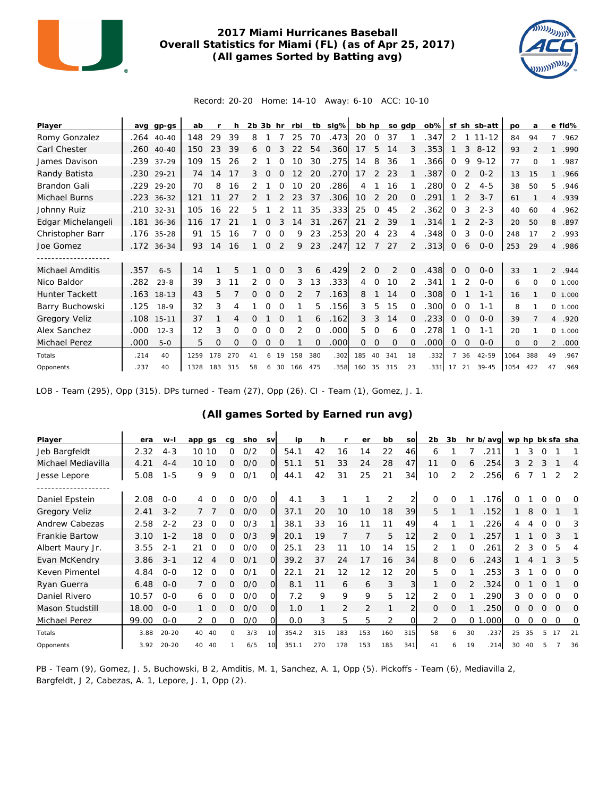

## **2017 Miami Hurricanes Baseball Overall Statistics for Miami (FL) (as of Apr 25, 2017) (All games Sorted by Batting avg)**



Record: 20-20 Home: 14-10 Away: 6-10 ACC: 10-10

| Player             | avq  | $qp-gs$      | ab   |     | h        | $2b$ $3b$ hr |          |          | rbi            | tb       | slg% | bb hp          |                | so gdp   |              | ob%  |                |          | sf sh sb-att | po   | a        |                | e fld%  |
|--------------------|------|--------------|------|-----|----------|--------------|----------|----------|----------------|----------|------|----------------|----------------|----------|--------------|------|----------------|----------|--------------|------|----------|----------------|---------|
| Romy Gonzalez      |      | .264 40-40   | 148  | 29  | 39       | 8            |          |          | 25             | 70       | .473 | 20             | $\Omega$       | 37       |              | 347  | 2              |          | $11 - 12$    | 84   | 94       | $\overline{7}$ | .962    |
| Carl Chester       |      | .260 40-40   | 150  | 23  | 39       | 6            | $\Omega$ |          | 22             | 54       | .360 | 17             | 5              | 14       | 3            | .353 |                | 3        | $8 - 12$     | 93   |          | $\mathbf{1}$   | .990    |
| James Davison      |      | .239 37-29   | 109  | 15  | 26       |              |          |          | 10             | 30       | .275 | 14             | 8              | 36       |              | .366 | $\Omega$       | 9        | $9 - 12$     | 77   | Ω        |                | .987    |
| Randy Batista      | .230 | 29-21        | 74   | 14  | 17       | 3.           |          |          |                | 20       | .270 | 17             | 2              | 23       |              | .387 | 0              | 2        | $0 - 2$      | 13   | 15       | $\mathbf{1}$   | .966    |
| Brandon Gali       | .229 | $29 - 20$    | 70   | 8   | 16       |              |          | O        | 10             | 20       | .286 | 4              |                | 16       |              | .280 | 0              |          | $4 - 5$      | 38   | 50       | 5.             | .946    |
| Michael Burns      |      | .223 36-32   | 121  | 11  | 27       |              |          |          | 23             | 37       | .306 | 10             | 2              | 20       | $\Omega$     | .291 |                | 2        | $3 - 7$      | 61   |          |                | 4 .939  |
| Johnny Ruiz        |      | .210 32-31   | 105  | 16  | 22       | 5            |          |          |                | 35       | .333 | 25             | 0              | 45       | 2            | .362 | 0              | 3        | $2 - 3$      | 40   | 60       | 4              | .962    |
| Edgar Michelangeli |      | .181 36-36   | 116  | 17  | 21       |              |          |          | $\overline{4}$ | 31       | .267 | 21             | 2              | 39       |              | .314 |                |          | $2 - 3$      | 20   | 50       | 8              | .897    |
| Christopher Barr   |      | .176 35-28   | 91   | 15  | 16       |              | ∩        | $\Omega$ | 9              | 23       | .253 | 20             | 4              | 23       | 4            | .348 | $\Omega$       | 3        | $0 - 0$      | 248  | 17       | $\overline{2}$ | .993    |
| Joe Gomez          |      | $.172$ 36-34 | 93   | 14  | 16       |              | 0        | 2        | 9              | 23       | .247 | 12             | $\overline{7}$ | 27       | 2            | .313 | $\mathbf 0$    | 6        | $0 - 0$      | 253  | 29       |                | 4.986   |
|                    |      |              |      |     |          |              |          |          |                |          |      |                |                |          |              |      |                |          |              |      |          |                |         |
| Michael Amditis    | .357 | $6 - 5$      | 14   |     | 5        |              | O        |          | 3              | 6        | .429 | $\overline{2}$ | $\Omega$       | 2        | $\Omega$     | .438 | $\Omega$       | 0        | $O - O$      | 33   |          |                | 2 .944  |
| Nico Baldor        | .282 | $23 - 8$     | 39   | 3   | 11       | 2            | $\Omega$ | $\Omega$ | 3              | 13       | .333 | 4              | 0              | 10       | 2            | .341 |                | 2        | $0 - 0$      | 6    | $\Omega$ |                | 0 1.000 |
| Hunter Tackett     |      | .163 18-13   | 43   | 5   |          | 0            | 0        | $\Omega$ | 2              |          | .163 | 8              |                | 14       | $\mathbf{0}$ | .308 | $\mathbf 0$    |          | $1 - 1$      | 16   |          |                | 0 1.000 |
| Barry Buchowski    | .125 | $18-9$       | 32   | 3   | 4        |              | 0        | Ω        |                | 5        | .156 | 3              | 5              | 15       | $\Omega$     | .300 | 0              | 0        | $1 - 1$      | 8    |          |                | 0 1.000 |
| Gregory Veliz      |      | .108 15-11   | 37   |     | 4        | 0            |          | ∩        |                | 6        | .162 | 3              | 3              | 14       | $\Omega$     | .233 | 0              | 0        | $O - O$      | 39   |          |                | 4.920   |
| Alex Sanchez       | .000 | $12 - 3$     | 12   | 3   | O        | Ω            | Ω        | $\Omega$ | $\overline{2}$ | $\Omega$ | .000 | 5              | 0              | 6        | ∩            | 278  |                | O        | $1 - 1$      | 20   |          |                | 0 1.000 |
| Michael Perez      | .000 | $5 - 0$      | 5    | O   | $\Omega$ | 0            | $\Omega$ | $\Omega$ |                | $\Omega$ | .000 | 0              | $\Omega$       | $\Omega$ | $\Omega$     | 000  | $\Omega$       | $\Omega$ | $0-0$        | 0    | $\Omega$ | $\overline{2}$ | .000    |
| Totals             | .214 | 40           | 1259 | 178 | 270      | 41           | 6        | 19       | 158            | 380      | .302 | 185            | 40             | 341      | 18           | .332 | $\overline{7}$ | 36       | 42-59        | 1064 | 388      | 49             | .967    |
| Opponents          | .237 | 40           | 1328 | 183 | 315      | 58           |          | 6 30     | 166 475        |          |      | .358 160       | 35             | 315      | 23           | .331 | 17             | 21       | $39 - 45$    | 1054 | 422      | 47             | .969    |

LOB - Team (295), Opp (315). DPs turned - Team (27), Opp (26). CI - Team (1), Gomez, J. 1.

## **(All games Sorted by Earned run avg)**

| Player                | era   | $W -$     | app<br>as              | ca             | sho | <b>SV</b>      | ip    |     |     | er  | bb  | <b>SO</b>      | 2 <sub>b</sub> | 3b             |               | hr b/avg | wp hp bk sfa sha |    |          |          |                |
|-----------------------|-------|-----------|------------------------|----------------|-----|----------------|-------|-----|-----|-----|-----|----------------|----------------|----------------|---------------|----------|------------------|----|----------|----------|----------------|
| Jeb Bargfeldt         | 2.32  | $4 - 3$   | 10<br>10               | 0              | O/2 | Ω              | 54.1  | 42  | 16  | 14  | 22  | 46             | 6              |                |               | 211      |                  | 3  |          |          |                |
| Michael Mediavilla    | 4.21  | $4 - 4$   | 10 10                  | 0              | O/O | $\Omega$       | 51.1  | 51  | 33  | 24  | 28  | 47             | 11             | $\Omega$       |               | 254      | 3                |    |          |          | $\overline{4}$ |
| Jesse Lepore          | 5.08  | $1 - 5$   | 9<br>9                 | 0              | 0/1 | $\overline{O}$ | 44.1  | 42  | 31  | 25  | 21  | 34             | 10             | $\overline{2}$ |               | 256      | 6                |    |          |          | 2              |
|                       |       |           |                        |                |     |                |       |     |     |     |     |                |                |                |               |          |                  |    |          |          |                |
| Daniel Epstein        | 2.08  | $O - O$   |                        | Ω              | 0/0 |                | 4.1   | 3   |     |     | 2   |                | $\Omega$       | 0              |               | .176     |                  |    |          |          | O              |
| <b>Gregory Veliz</b>  | 2.41  | $3 - 2$   |                        | 0              | O/O | $\Omega$       | 37.1  | 20  | 10  | 10  | 18  | 39             | 5              |                |               | .152     |                  | 8  | $\Omega$ |          |                |
| Andrew Cabezas        | 2.58  | $2 - 2$   | 23<br>0                | 0              | O/3 |                | 38.1  | 33  | 16  | 11  | 11  | 49             |                |                |               | 226      | 4                |    |          |          |                |
| <b>Frankie Bartow</b> | 3.10  | $1 - 2$   | 18<br>0                | Ω              | O/3 | 9              | 20.1  | 19  |     |     | 5   | 12             | 2              | 0              |               | 257      |                  |    | $\Omega$ | 3        |                |
| Albert Maury Jr.      | 3.55  | $2 - 1$   | 21<br>0                | 0              | 0/0 | $\Omega$       | 25.1  | 23  | 11  | 10  | 14  | 15             | 2              |                | $\Omega$      | 261      | 2.               | 3  | $\Omega$ | 5        |                |
| Evan McKendry         | 3.86  | $3 - 1$   | $12 \overline{ }$<br>4 | $\overline{0}$ | 0/1 | $\Omega$       | 39.2  | 37  | 24  | 17  | 16  | 34             | 8              | $\overline{0}$ | 6             | .243     |                  | 4  |          |          | 5              |
| Keven Pimentel        | 4.84  | $0 - 0$   | 12<br>0                | $\Omega$       | O/1 | $\Omega$       | 22.1  | 21  | 12  | 12  | 12  | 20             | 5              | $\Omega$       |               | 253      | 3                |    | $\Omega$ | ∩        | O              |
| Ryan Guerra           | 6.48  | $0 - 0$   | $\Omega$               | 0              | O/O | $\Omega$       | 8.1   | 11  | 6   | 6   | 3   | $\overline{3}$ |                | $\Omega$       | $\mathcal{P}$ | 324      | 0                |    | $\Omega$ |          | Ω              |
| Daniel Rivero         | 10.57 | $O-O$     | $\Omega$<br>6          | 0              | O/O | $\Omega$       | 7.2   | 9   | 9   | 9   | 5   | 12             | $\mathcal{P}$  | O              |               | 290      | 3                |    |          |          | Ω              |
| Mason Studstill       | 18.00 | $O - O$   | $\circ$                | 0              | O/O | $\Omega$       | 1.0   |     | 2   | 2   |     |                | $\Omega$       | $\Omega$       |               | 250      | 0                |    |          | $\Omega$ | O              |
| Michael Perez         | 99.00 | $0 - 0$   | $\Omega$               | O              | O/O | Ω              | 0.0   | 3   | 5   | 5   | 2   | $\Omega$       |                | $\Omega$       | $\Omega$      | .000     | 0                | O  | $\Omega$ | $\Omega$ | 0              |
| Totals                | 3.88  | $20 - 20$ | 40<br>40               | O              | 3/3 | 10             | 354.2 | 315 | 183 | 153 | 160 | 315            | 58             | 6              | 30            | .237     | 25               | 35 |          | 17       | 21             |
| Opponents             | 3.92  | $20 - 20$ | 40<br>40               |                | 6/5 | 10             | 351.1 | 270 | 178 | 153 | 185 | 341            | 41             | 6              | 19            | 214      | 30               | 40 |          |          | 36             |

PB - Team (9), Gomez, J. 5, Buchowski, B 2, Amditis, M. 1, Sanchez, A. 1, Opp (5). Pickoffs - Team (6), Mediavilla 2, Bargfeldt, J 2, Cabezas, A. 1, Lepore, J. 1, Opp (2).